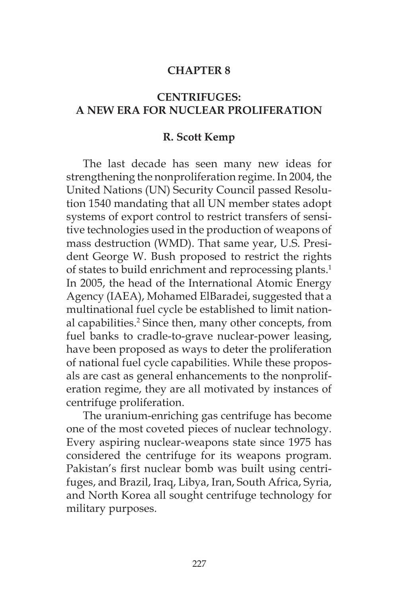#### **CHAPTER 8**

## **CENTRIFUGES: A NEW ERA FOR NUCLEAR PROLIFERATION**

#### **R. Scott Kemp**

The last decade has seen many new ideas for strengthening the nonproliferation regime. In 2004, the United Nations (UN) Security Council passed Resolution 1540 mandating that all UN member states adopt systems of export control to restrict transfers of sensitive technologies used in the production of weapons of mass destruction (WMD). That same year, U.S. President George W. Bush proposed to restrict the rights of states to build enrichment and reprocessing plants.<sup>1</sup> In 2005, the head of the International Atomic Energy Agency (IAEA), Mohamed ElBaradei, suggested that a multinational fuel cycle be established to limit national capabilities.<sup>2</sup> Since then, many other concepts, from fuel banks to cradle-to-grave nuclear-power leasing, have been proposed as ways to deter the proliferation of national fuel cycle capabilities. While these proposals are cast as general enhancements to the nonproliferation regime, they are all motivated by instances of centrifuge proliferation.

The uranium-enriching gas centrifuge has become one of the most coveted pieces of nuclear technology. Every aspiring nuclear-weapons state since 1975 has considered the centrifuge for its weapons program. Pakistan's first nuclear bomb was built using centrifuges, and Brazil, Iraq, Libya, Iran, South Africa, Syria, and North Korea all sought centrifuge technology for military purposes.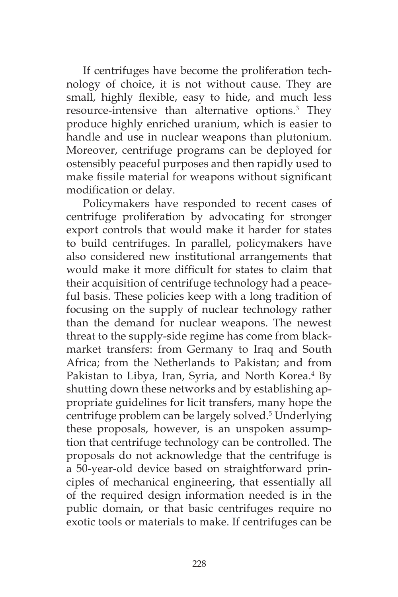If centrifuges have become the proliferation technology of choice, it is not without cause. They are small, highly flexible, easy to hide, and much less resource-intensive than alternative options.<sup>3</sup> They produce highly enriched uranium, which is easier to handle and use in nuclear weapons than plutonium. Moreover, centrifuge programs can be deployed for ostensibly peaceful purposes and then rapidly used to make fissile material for weapons without significant modification or delay.

Policymakers have responded to recent cases of centrifuge proliferation by advocating for stronger export controls that would make it harder for states to build centrifuges. In parallel, policymakers have also considered new institutional arrangements that would make it more difficult for states to claim that their acquisition of centrifuge technology had a peaceful basis. These policies keep with a long tradition of focusing on the supply of nuclear technology rather than the demand for nuclear weapons. The newest threat to the supply-side regime has come from blackmarket transfers: from Germany to Iraq and South Africa; from the Netherlands to Pakistan; and from Pakistan to Libya, Iran, Syria, and North Korea.<sup>4</sup> By shutting down these networks and by establishing appropriate guidelines for licit transfers, many hope the centrifuge problem can be largely solved.5 Underlying these proposals, however, is an unspoken assumption that centrifuge technology can be controlled. The proposals do not acknowledge that the centrifuge is a 50-year-old device based on straightforward principles of mechanical engineering, that essentially all of the required design information needed is in the public domain, or that basic centrifuges require no exotic tools or materials to make. If centrifuges can be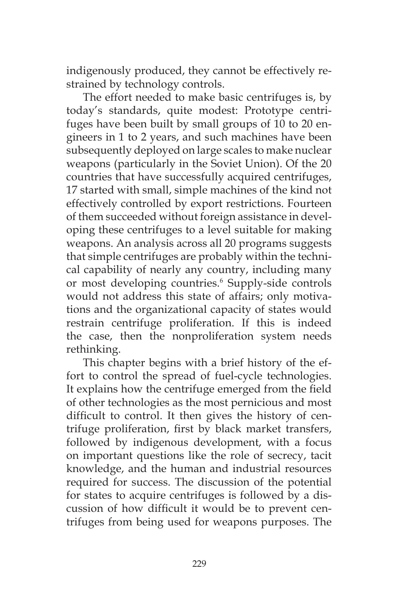indigenously produced, they cannot be effectively restrained by technology controls.

The effort needed to make basic centrifuges is, by today's standards, quite modest: Prototype centrifuges have been built by small groups of 10 to 20 engineers in 1 to 2 years, and such machines have been subsequently deployed on large scales to make nuclear weapons (particularly in the Soviet Union). Of the 20 countries that have successfully acquired centrifuges, 17 started with small, simple machines of the kind not effectively controlled by export restrictions. Fourteen of them succeeded without foreign assistance in developing these centrifuges to a level suitable for making weapons. An analysis across all 20 programs suggests that simple centrifuges are probably within the technical capability of nearly any country, including many or most developing countries.<sup>6</sup> Supply-side controls would not address this state of affairs; only motivations and the organizational capacity of states would restrain centrifuge proliferation. If this is indeed the case, then the nonproliferation system needs rethinking.

This chapter begins with a brief history of the effort to control the spread of fuel-cycle technologies. It explains how the centrifuge emerged from the field of other technologies as the most pernicious and most difficult to control. It then gives the history of centrifuge proliferation, first by black market transfers, followed by indigenous development, with a focus on important questions like the role of secrecy, tacit knowledge, and the human and industrial resources required for success. The discussion of the potential for states to acquire centrifuges is followed by a discussion of how difficult it would be to prevent centrifuges from being used for weapons purposes. The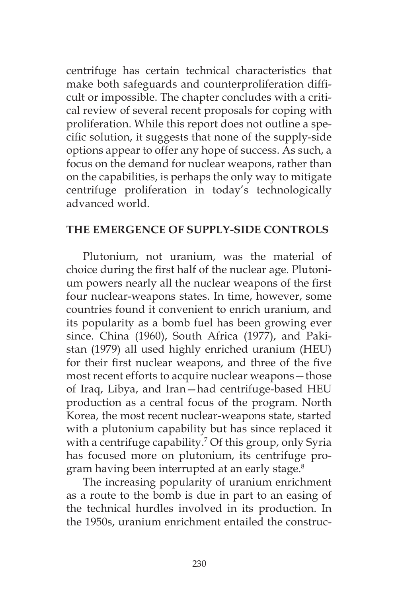centrifuge has certain technical characteristics that make both safeguards and counterproliferation difficult or impossible. The chapter concludes with a critical review of several recent proposals for coping with proliferation. While this report does not outline a specific solution, it suggests that none of the supply-side options appear to offer any hope of success. As such, a focus on the demand for nuclear weapons, rather than on the capabilities, is perhaps the only way to mitigate centrifuge proliferation in today's technologically advanced world.

## **THE EMERGENCE OF SUPPLY-SIDE CONTROLS**

Plutonium, not uranium, was the material of choice during the first half of the nuclear age. Plutonium powers nearly all the nuclear weapons of the first four nuclear-weapons states. In time, however, some countries found it convenient to enrich uranium, and its popularity as a bomb fuel has been growing ever since. China (1960), South Africa (1977), and Pakistan (1979) all used highly enriched uranium (HEU) for their first nuclear weapons, and three of the five most recent efforts to acquire nuclear weapons—those of Iraq, Libya, and Iran—had centrifuge-based HEU production as a central focus of the program. North Korea, the most recent nuclear-weapons state, started with a plutonium capability but has since replaced it with a centrifuge capability.7 Of this group, only Syria has focused more on plutonium, its centrifuge program having been interrupted at an early stage.<sup>8</sup>

The increasing popularity of uranium enrichment as a route to the bomb is due in part to an easing of the technical hurdles involved in its production. In the 1950s, uranium enrichment entailed the construc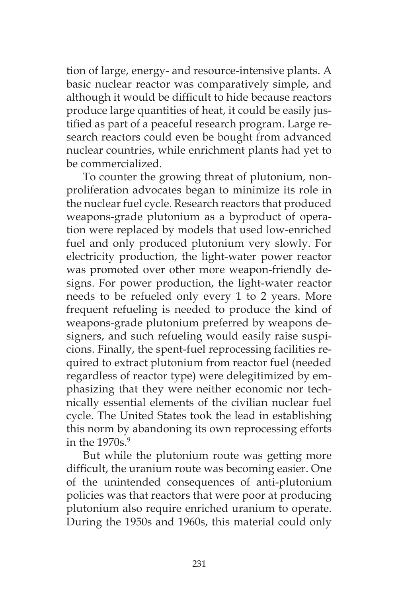tion of large, energy- and resource-intensive plants. A basic nuclear reactor was comparatively simple, and although it would be difficult to hide because reactors produce large quantities of heat, it could be easily justified as part of a peaceful research program. Large research reactors could even be bought from advanced nuclear countries, while enrichment plants had yet to be commercialized.

To counter the growing threat of plutonium, nonproliferation advocates began to minimize its role in the nuclear fuel cycle. Research reactors that produced weapons-grade plutonium as a byproduct of operation were replaced by models that used low-enriched fuel and only produced plutonium very slowly. For electricity production, the light-water power reactor was promoted over other more weapon-friendly designs. For power production, the light-water reactor needs to be refueled only every 1 to 2 years. More frequent refueling is needed to produce the kind of weapons-grade plutonium preferred by weapons designers, and such refueling would easily raise suspicions. Finally, the spent-fuel reprocessing facilities required to extract plutonium from reactor fuel (needed regardless of reactor type) were delegitimized by emphasizing that they were neither economic nor technically essential elements of the civilian nuclear fuel cycle. The United States took the lead in establishing this norm by abandoning its own reprocessing efforts in the  $1970s$ .<sup>9</sup>

But while the plutonium route was getting more difficult, the uranium route was becoming easier. One of the unintended consequences of anti-plutonium policies was that reactors that were poor at producing plutonium also require enriched uranium to operate. During the 1950s and 1960s, this material could only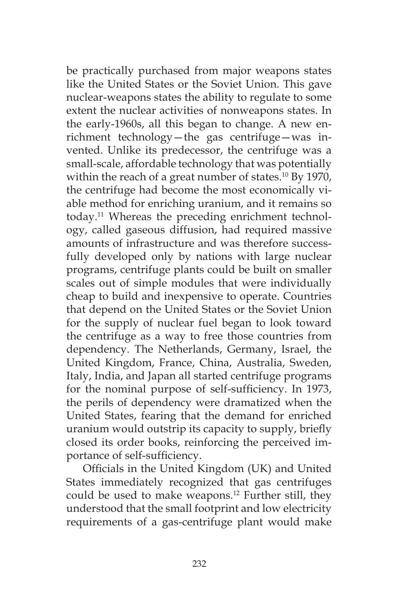be practically purchased from major weapons states like the United States or the Soviet Union. This gave nuclear-weapons states the ability to regulate to some extent the nuclear activities of nonweapons states. In the early-1960s, all this began to change. A new enrichment technology—the gas centrifuge—was invented. Unlike its predecessor, the centrifuge was a small-scale, affordable technology that was potentially within the reach of a great number of states.<sup>10</sup> By 1970, the centrifuge had become the most economically viable method for enriching uranium, and it remains so today.11 Whereas the preceding enrichment technology, called gaseous diffusion, had required massive amounts of infrastructure and was therefore successfully developed only by nations with large nuclear programs, centrifuge plants could be built on smaller scales out of simple modules that were individually cheap to build and inexpensive to operate. Countries that depend on the United States or the Soviet Union for the supply of nuclear fuel began to look toward the centrifuge as a way to free those countries from dependency. The Netherlands, Germany, Israel, the United Kingdom, France, China, Australia, Sweden, Italy, India, and Japan all started centrifuge programs for the nominal purpose of self-sufficiency. In 1973, the perils of dependency were dramatized when the United States, fearing that the demand for enriched uranium would outstrip its capacity to supply, briefly closed its order books, reinforcing the perceived importance of self-sufficiency.

Officials in the United Kingdom (UK) and United States immediately recognized that gas centrifuges could be used to make weapons.<sup>12</sup> Further still, they understood that the small footprint and low electricity requirements of a gas-centrifuge plant would make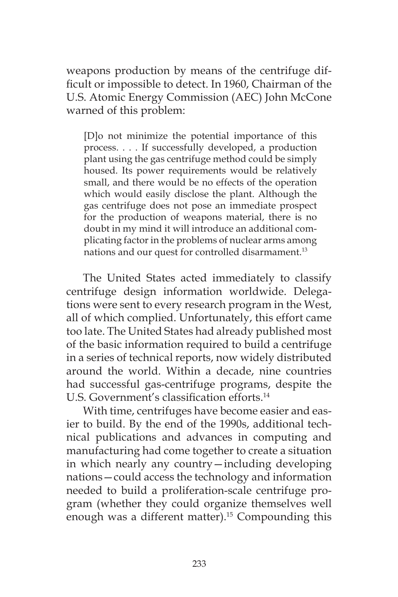weapons production by means of the centrifuge difficult or impossible to detect. In 1960, Chairman of the U.S. Atomic Energy Commission (AEC) John McCone warned of this problem:

[D]o not minimize the potential importance of this process. . . . If successfully developed, a production plant using the gas centrifuge method could be simply housed. Its power requirements would be relatively small, and there would be no effects of the operation which would easily disclose the plant. Although the gas centrifuge does not pose an immediate prospect for the production of weapons material, there is no doubt in my mind it will introduce an additional complicating factor in the problems of nuclear arms among nations and our quest for controlled disarmament.<sup>13</sup>

The United States acted immediately to classify centrifuge design information worldwide. Delegations were sent to every research program in the West, all of which complied. Unfortunately, this effort came too late. The United States had already published most of the basic information required to build a centrifuge in a series of technical reports, now widely distributed around the world. Within a decade, nine countries had successful gas-centrifuge programs, despite the U.S. Government's classification efforts.<sup>14</sup>

With time, centrifuges have become easier and easier to build. By the end of the 1990s, additional technical publications and advances in computing and manufacturing had come together to create a situation in which nearly any country—including developing nations—could access the technology and information needed to build a proliferation-scale centrifuge program (whether they could organize themselves well enough was a different matter).<sup>15</sup> Compounding this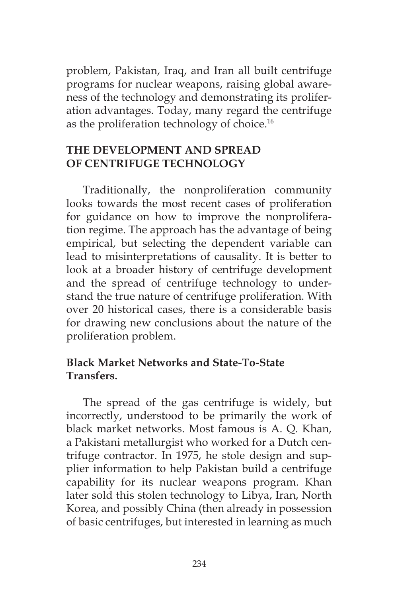problem, Pakistan, Iraq, and Iran all built centrifuge programs for nuclear weapons, raising global awareness of the technology and demonstrating its proliferation advantages. Today, many regard the centrifuge as the proliferation technology of choice.<sup>16</sup>

# **THE DEVELOPMENT AND SPREAD OF CENTRIFUGE TECHNOLOGY**

Traditionally, the nonproliferation community looks towards the most recent cases of proliferation for guidance on how to improve the nonproliferation regime. The approach has the advantage of being empirical, but selecting the dependent variable can lead to misinterpretations of causality. It is better to look at a broader history of centrifuge development and the spread of centrifuge technology to understand the true nature of centrifuge proliferation. With over 20 historical cases, there is a considerable basis for drawing new conclusions about the nature of the proliferation problem.

## **Black Market Networks and State-To-State Transfers.**

The spread of the gas centrifuge is widely, but incorrectly, understood to be primarily the work of black market networks. Most famous is A. Q. Khan, a Pakistani metallurgist who worked for a Dutch centrifuge contractor. In 1975, he stole design and supplier information to help Pakistan build a centrifuge capability for its nuclear weapons program. Khan later sold this stolen technology to Libya, Iran, North Korea, and possibly China (then already in possession of basic centrifuges, but interested in learning as much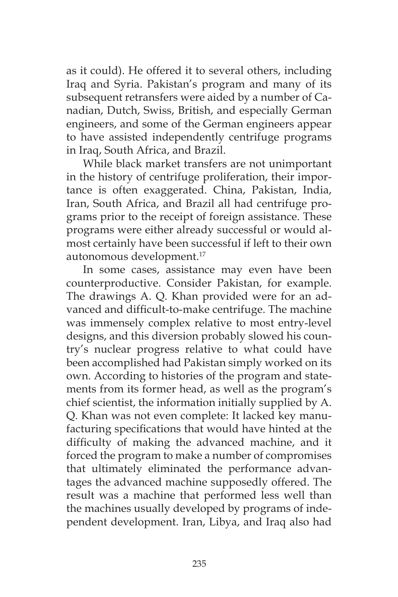as it could). He offered it to several others, including Iraq and Syria. Pakistan's program and many of its subsequent retransfers were aided by a number of Canadian, Dutch, Swiss, British, and especially German engineers, and some of the German engineers appear to have assisted independently centrifuge programs in Iraq, South Africa, and Brazil.

While black market transfers are not unimportant in the history of centrifuge proliferation, their importance is often exaggerated. China, Pakistan, India, Iran, South Africa, and Brazil all had centrifuge programs prior to the receipt of foreign assistance. These programs were either already successful or would almost certainly have been successful if left to their own autonomous development.17

In some cases, assistance may even have been counterproductive. Consider Pakistan, for example. The drawings A. Q. Khan provided were for an advanced and difficult-to-make centrifuge. The machine was immensely complex relative to most entry-level designs, and this diversion probably slowed his country's nuclear progress relative to what could have been accomplished had Pakistan simply worked on its own. According to histories of the program and statements from its former head, as well as the program's chief scientist, the information initially supplied by A. Q. Khan was not even complete: It lacked key manufacturing specifications that would have hinted at the difficulty of making the advanced machine, and it forced the program to make a number of compromises that ultimately eliminated the performance advantages the advanced machine supposedly offered. The result was a machine that performed less well than the machines usually developed by programs of independent development. Iran, Libya, and Iraq also had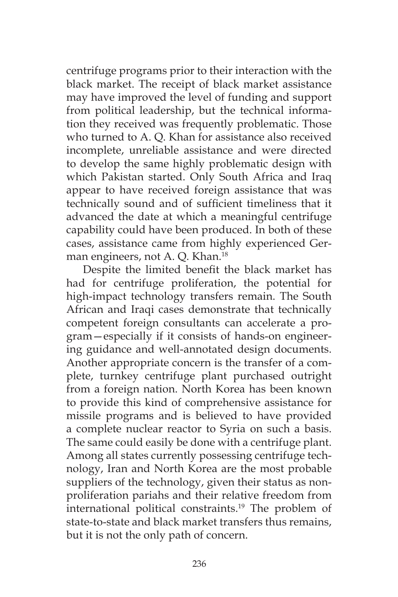centrifuge programs prior to their interaction with the black market. The receipt of black market assistance may have improved the level of funding and support from political leadership, but the technical information they received was frequently problematic. Those who turned to A. Q. Khan for assistance also received incomplete, unreliable assistance and were directed to develop the same highly problematic design with which Pakistan started. Only South Africa and Iraq appear to have received foreign assistance that was technically sound and of sufficient timeliness that it advanced the date at which a meaningful centrifuge capability could have been produced. In both of these cases, assistance came from highly experienced German engineers, not A. Q. Khan.<sup>18</sup>

Despite the limited benefit the black market has had for centrifuge proliferation, the potential for high-impact technology transfers remain. The South African and Iraqi cases demonstrate that technically competent foreign consultants can accelerate a program—especially if it consists of hands-on engineering guidance and well-annotated design documents. Another appropriate concern is the transfer of a complete, turnkey centrifuge plant purchased outright from a foreign nation. North Korea has been known to provide this kind of comprehensive assistance for missile programs and is believed to have provided a complete nuclear reactor to Syria on such a basis. The same could easily be done with a centrifuge plant. Among all states currently possessing centrifuge technology, Iran and North Korea are the most probable suppliers of the technology, given their status as nonproliferation pariahs and their relative freedom from international political constraints.19 The problem of state-to-state and black market transfers thus remains, but it is not the only path of concern.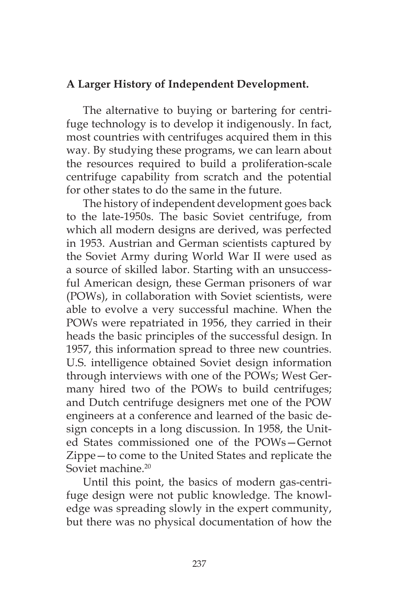# **A Larger History of Independent Development.**

The alternative to buying or bartering for centrifuge technology is to develop it indigenously. In fact, most countries with centrifuges acquired them in this way. By studying these programs, we can learn about the resources required to build a proliferation-scale centrifuge capability from scratch and the potential for other states to do the same in the future.

The history of independent development goes back to the late-1950s. The basic Soviet centrifuge, from which all modern designs are derived, was perfected in 1953. Austrian and German scientists captured by the Soviet Army during World War II were used as a source of skilled labor. Starting with an unsuccessful American design, these German prisoners of war (POWs), in collaboration with Soviet scientists, were able to evolve a very successful machine. When the POWs were repatriated in 1956, they carried in their heads the basic principles of the successful design. In 1957, this information spread to three new countries. U.S. intelligence obtained Soviet design information through interviews with one of the POWs; West Germany hired two of the POWs to build centrifuges; and Dutch centrifuge designers met one of the POW engineers at a conference and learned of the basic design concepts in a long discussion. In 1958, the United States commissioned one of the POWs—Gernot Zippe—to come to the United States and replicate the Soviet machine.<sup>20</sup>

Until this point, the basics of modern gas-centrifuge design were not public knowledge. The knowledge was spreading slowly in the expert community, but there was no physical documentation of how the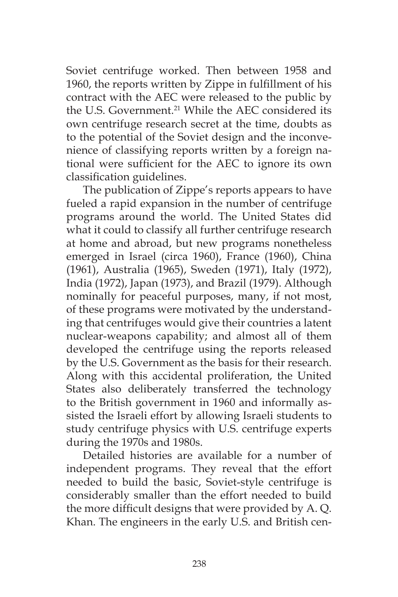Soviet centrifuge worked. Then between 1958 and 1960, the reports written by Zippe in fulfillment of his contract with the AEC were released to the public by the U.S. Government.<sup>21</sup> While the AEC considered its own centrifuge research secret at the time, doubts as to the potential of the Soviet design and the inconvenience of classifying reports written by a foreign national were sufficient for the AEC to ignore its own classification guidelines.

The publication of Zippe's reports appears to have fueled a rapid expansion in the number of centrifuge programs around the world. The United States did what it could to classify all further centrifuge research at home and abroad, but new programs nonetheless emerged in Israel (circa 1960), France (1960), China (1961), Australia (1965), Sweden (1971), Italy (1972), India (1972), Japan (1973), and Brazil (1979). Although nominally for peaceful purposes, many, if not most, of these programs were motivated by the understanding that centrifuges would give their countries a latent nuclear-weapons capability; and almost all of them developed the centrifuge using the reports released by the U.S. Government as the basis for their research. Along with this accidental proliferation, the United States also deliberately transferred the technology to the British government in 1960 and informally assisted the Israeli effort by allowing Israeli students to study centrifuge physics with U.S. centrifuge experts during the 1970s and 1980s.

Detailed histories are available for a number of independent programs. They reveal that the effort needed to build the basic, Soviet-style centrifuge is considerably smaller than the effort needed to build the more difficult designs that were provided by A. Q. Khan. The engineers in the early U.S. and British cen-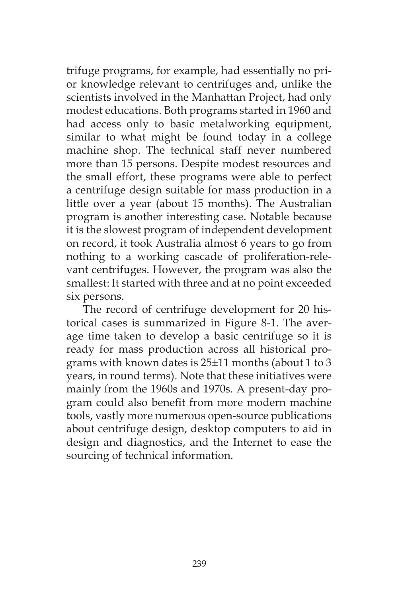trifuge programs, for example, had essentially no prior knowledge relevant to centrifuges and, unlike the scientists involved in the Manhattan Project, had only modest educations. Both programs started in 1960 and had access only to basic metalworking equipment, similar to what might be found today in a college machine shop. The technical staff never numbered more than 15 persons. Despite modest resources and the small effort, these programs were able to perfect a centrifuge design suitable for mass production in a little over a year (about 15 months). The Australian program is another interesting case. Notable because it is the slowest program of independent development on record, it took Australia almost 6 years to go from nothing to a working cascade of proliferation-relevant centrifuges. However, the program was also the smallest: It started with three and at no point exceeded six persons.

The record of centrifuge development for 20 historical cases is summarized in Figure 8-1. The average time taken to develop a basic centrifuge so it is ready for mass production across all historical programs with known dates is 25±11 months (about 1 to 3 years, in round terms). Note that these initiatives were mainly from the 1960s and 1970s. A present-day program could also benefit from more modern machine tools, vastly more numerous open-source publications about centrifuge design, desktop computers to aid in design and diagnostics, and the Internet to ease the sourcing of technical information.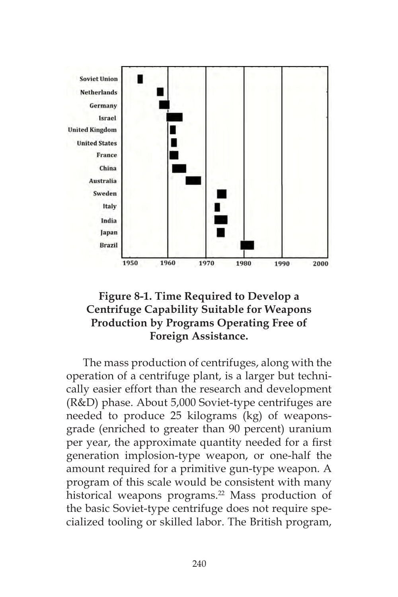

# **Figure 8-1. Time Required to Develop a Centrifuge Capability Suitable for Weapons Production by Programs Operating Free of Foreign Assistance.**

The mass production of centrifuges, along with the operation of a centrifuge plant, is a larger but technically easier effort than the research and development (R&D) phase. About 5,000 Soviet-type centrifuges are needed to produce 25 kilograms (kg) of weaponsgrade (enriched to greater than 90 percent) uranium per year, the approximate quantity needed for a first generation implosion-type weapon, or one-half the amount required for a primitive gun-type weapon. A program of this scale would be consistent with many historical weapons programs.<sup>22</sup> Mass production of the basic Soviet-type centrifuge does not require specialized tooling or skilled labor. The British program,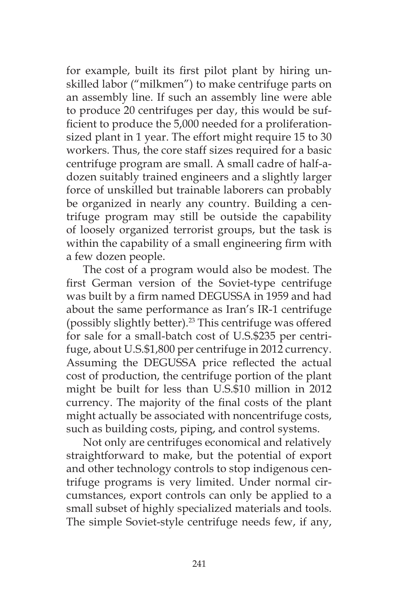for example, built its first pilot plant by hiring unskilled labor ("milkmen") to make centrifuge parts on an assembly line. If such an assembly line were able to produce 20 centrifuges per day, this would be sufficient to produce the 5,000 needed for a proliferationsized plant in 1 year. The effort might require 15 to 30 workers. Thus, the core staff sizes required for a basic centrifuge program are small. A small cadre of half-adozen suitably trained engineers and a slightly larger force of unskilled but trainable laborers can probably be organized in nearly any country. Building a centrifuge program may still be outside the capability of loosely organized terrorist groups, but the task is within the capability of a small engineering firm with a few dozen people.

The cost of a program would also be modest. The first German version of the Soviet-type centrifuge was built by a firm named DEGUSSA in 1959 and had about the same performance as Iran's IR-1 centrifuge (possibly slightly better).23 This centrifuge was offered for sale for a small-batch cost of U.S.\$235 per centrifuge, about U.S.\$1,800 per centrifuge in 2012 currency. Assuming the DEGUSSA price reflected the actual cost of production, the centrifuge portion of the plant might be built for less than U.S.\$10 million in 2012 currency. The majority of the final costs of the plant might actually be associated with noncentrifuge costs, such as building costs, piping, and control systems.

Not only are centrifuges economical and relatively straightforward to make, but the potential of export and other technology controls to stop indigenous centrifuge programs is very limited. Under normal circumstances, export controls can only be applied to a small subset of highly specialized materials and tools. The simple Soviet-style centrifuge needs few, if any,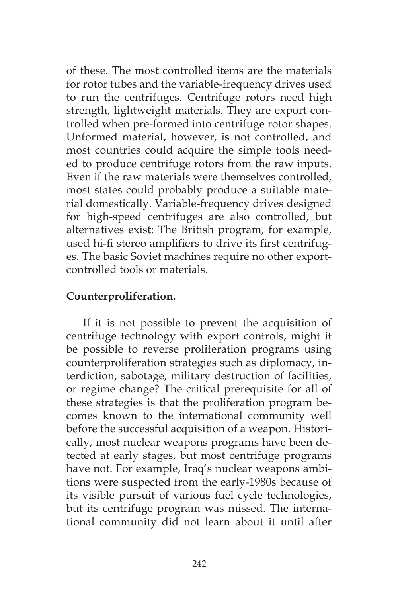of these. The most controlled items are the materials for rotor tubes and the variable-frequency drives used to run the centrifuges. Centrifuge rotors need high strength, lightweight materials. They are export controlled when pre-formed into centrifuge rotor shapes. Unformed material, however, is not controlled, and most countries could acquire the simple tools needed to produce centrifuge rotors from the raw inputs. Even if the raw materials were themselves controlled, most states could probably produce a suitable material domestically. Variable-frequency drives designed for high-speed centrifuges are also controlled, but alternatives exist: The British program, for example, used hi-fi stereo amplifiers to drive its first centrifuges. The basic Soviet machines require no other exportcontrolled tools or materials.

# **Counterproliferation.**

If it is not possible to prevent the acquisition of centrifuge technology with export controls, might it be possible to reverse proliferation programs using counterproliferation strategies such as diplomacy, interdiction, sabotage, military destruction of facilities, or regime change? The critical prerequisite for all of these strategies is that the proliferation program becomes known to the international community well before the successful acquisition of a weapon. Historically, most nuclear weapons programs have been detected at early stages, but most centrifuge programs have not. For example, Iraq's nuclear weapons ambitions were suspected from the early-1980s because of its visible pursuit of various fuel cycle technologies, but its centrifuge program was missed. The international community did not learn about it until after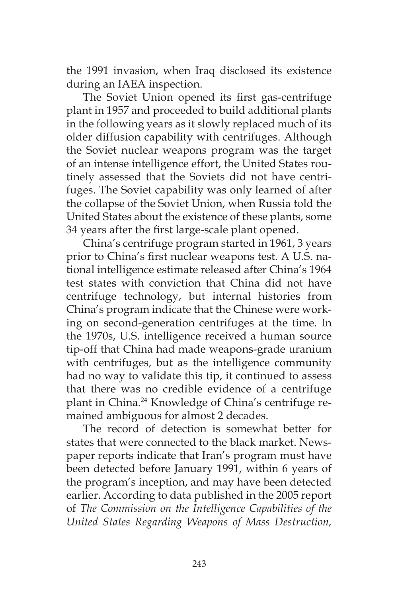the 1991 invasion, when Iraq disclosed its existence during an IAEA inspection.

The Soviet Union opened its first gas-centrifuge plant in 1957 and proceeded to build additional plants in the following years as it slowly replaced much of its older diffusion capability with centrifuges. Although the Soviet nuclear weapons program was the target of an intense intelligence effort, the United States routinely assessed that the Soviets did not have centrifuges. The Soviet capability was only learned of after the collapse of the Soviet Union, when Russia told the United States about the existence of these plants, some 34 years after the first large-scale plant opened.

China's centrifuge program started in 1961, 3 years prior to China's first nuclear weapons test. A U.S. national intelligence estimate released after China's 1964 test states with conviction that China did not have centrifuge technology, but internal histories from China's program indicate that the Chinese were working on second-generation centrifuges at the time. In the 1970s, U.S. intelligence received a human source tip-off that China had made weapons-grade uranium with centrifuges, but as the intelligence community had no way to validate this tip, it continued to assess that there was no credible evidence of a centrifuge plant in China.24 Knowledge of China's centrifuge remained ambiguous for almost 2 decades.

The record of detection is somewhat better for states that were connected to the black market. Newspaper reports indicate that Iran's program must have been detected before January 1991, within 6 years of the program's inception, and may have been detected earlier. According to data published in the 2005 report of *The Commission on the Intelligence Capabilities of the United States Regarding Weapons of Mass Destruction,*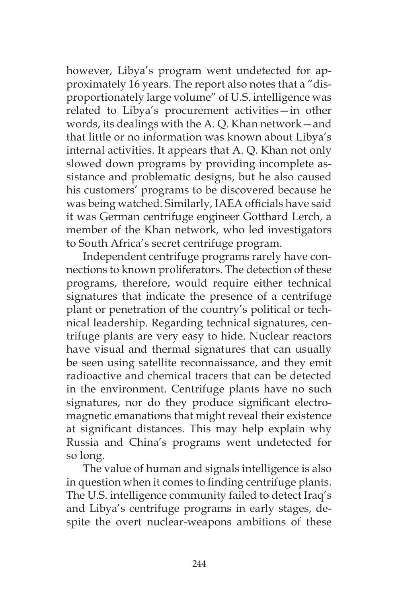however, Libya's program went undetected for approximately 16 years. The report also notes that a "disproportionately large volume" of U.S. intelligence was related to Libya's procurement activities—in other words, its dealings with the A. Q. Khan network—and that little or no information was known about Libya's internal activities. It appears that A. Q. Khan not only slowed down programs by providing incomplete assistance and problematic designs, but he also caused his customers' programs to be discovered because he was being watched. Similarly, IAEA officials have said it was German centrifuge engineer Gotthard Lerch, a member of the Khan network, who led investigators to South Africa's secret centrifuge program.

Independent centrifuge programs rarely have connections to known proliferators. The detection of these programs, therefore, would require either technical signatures that indicate the presence of a centrifuge plant or penetration of the country's political or technical leadership. Regarding technical signatures, centrifuge plants are very easy to hide. Nuclear reactors have visual and thermal signatures that can usually be seen using satellite reconnaissance, and they emit radioactive and chemical tracers that can be detected in the environment. Centrifuge plants have no such signatures, nor do they produce significant electromagnetic emanations that might reveal their existence at significant distances. This may help explain why Russia and China's programs went undetected for so long.

The value of human and signals intelligence is also in question when it comes to finding centrifuge plants. The U.S. intelligence community failed to detect Iraq's and Libya's centrifuge programs in early stages, despite the overt nuclear-weapons ambitions of these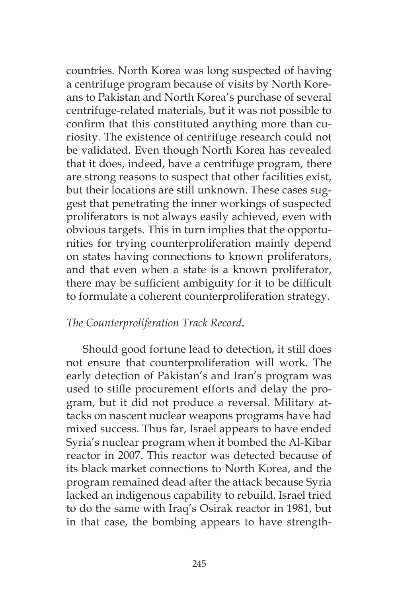countries. North Korea was long suspected of having a centrifuge program because of visits by North Koreans to Pakistan and North Korea's purchase of several centrifuge-related materials, but it was not possible to confirm that this constituted anything more than curiosity. The existence of centrifuge research could not be validated. Even though North Korea has revealed that it does, indeed, have a centrifuge program, there are strong reasons to suspect that other facilities exist, but their locations are still unknown. These cases suggest that penetrating the inner workings of suspected proliferators is not always easily achieved, even with obvious targets. This in turn implies that the opportunities for trying counterproliferation mainly depend on states having connections to known proliferators, and that even when a state is a known proliferator, there may be sufficient ambiguity for it to be difficult to formulate a coherent counterproliferation strategy.

## *The Counterproliferation Track Record***.**

Should good fortune lead to detection, it still does not ensure that counterproliferation will work. The early detection of Pakistan's and Iran's program was used to stifle procurement efforts and delay the program, but it did not produce a reversal. Military attacks on nascent nuclear weapons programs have had mixed success. Thus far, Israel appears to have ended Syria's nuclear program when it bombed the Al-Kibar reactor in 2007. This reactor was detected because of its black market connections to North Korea, and the program remained dead after the attack because Syria lacked an indigenous capability to rebuild. Israel tried to do the same with Iraq's Osirak reactor in 1981, but in that case, the bombing appears to have strength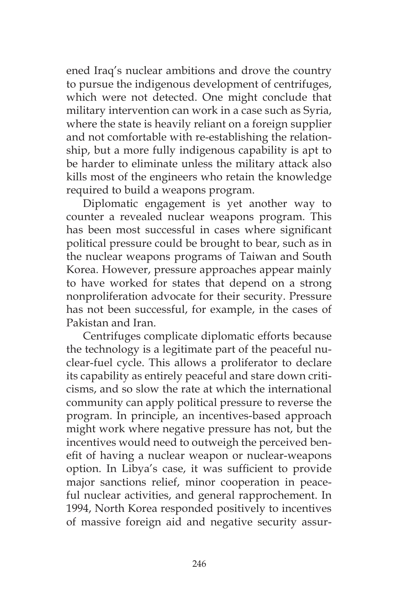ened Iraq's nuclear ambitions and drove the country to pursue the indigenous development of centrifuges, which were not detected. One might conclude that military intervention can work in a case such as Syria, where the state is heavily reliant on a foreign supplier and not comfortable with re-establishing the relationship, but a more fully indigenous capability is apt to be harder to eliminate unless the military attack also kills most of the engineers who retain the knowledge required to build a weapons program.

Diplomatic engagement is yet another way to counter a revealed nuclear weapons program. This has been most successful in cases where significant political pressure could be brought to bear, such as in the nuclear weapons programs of Taiwan and South Korea. However, pressure approaches appear mainly to have worked for states that depend on a strong nonproliferation advocate for their security. Pressure has not been successful, for example, in the cases of Pakistan and Iran.

Centrifuges complicate diplomatic efforts because the technology is a legitimate part of the peaceful nuclear-fuel cycle. This allows a proliferator to declare its capability as entirely peaceful and stare down criticisms, and so slow the rate at which the international community can apply political pressure to reverse the program. In principle, an incentives-based approach might work where negative pressure has not, but the incentives would need to outweigh the perceived benefit of having a nuclear weapon or nuclear-weapons option. In Libya's case, it was sufficient to provide major sanctions relief, minor cooperation in peaceful nuclear activities, and general rapprochement. In 1994, North Korea responded positively to incentives of massive foreign aid and negative security assur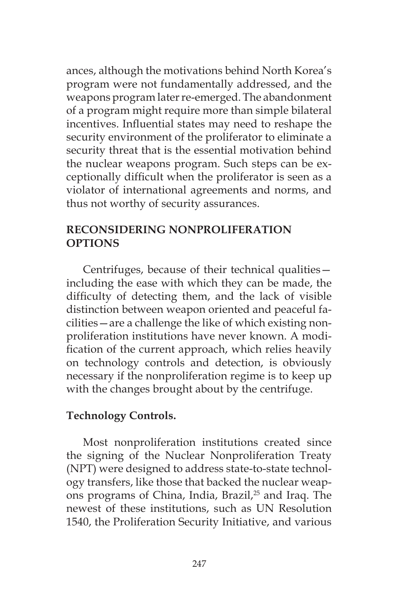ances, although the motivations behind North Korea's program were not fundamentally addressed, and the weapons program later re-emerged. The abandonment of a program might require more than simple bilateral incentives. Influential states may need to reshape the security environment of the proliferator to eliminate a security threat that is the essential motivation behind the nuclear weapons program. Such steps can be exceptionally difficult when the proliferator is seen as a violator of international agreements and norms, and thus not worthy of security assurances.

## **RECONSIDERING NONPROLIFERATION OPTIONS**

Centrifuges, because of their technical qualities including the ease with which they can be made, the difficulty of detecting them, and the lack of visible distinction between weapon oriented and peaceful facilities—are a challenge the like of which existing nonproliferation institutions have never known. A modification of the current approach, which relies heavily on technology controls and detection, is obviously necessary if the nonproliferation regime is to keep up with the changes brought about by the centrifuge.

## **Technology Controls.**

Most nonproliferation institutions created since the signing of the Nuclear Nonproliferation Treaty (NPT) were designed to address state-to-state technology transfers, like those that backed the nuclear weapons programs of China, India, Brazil,<sup>25</sup> and Iraq. The newest of these institutions, such as UN Resolution 1540, the Proliferation Security Initiative, and various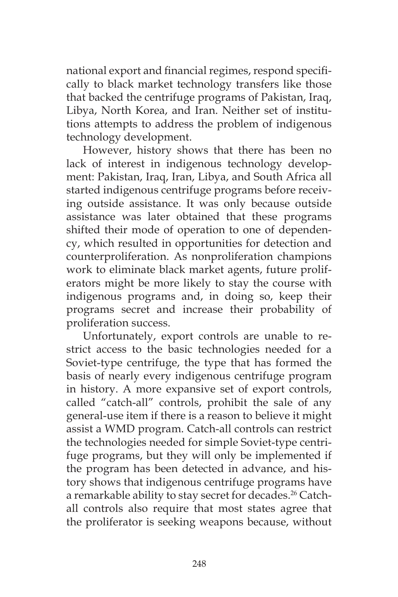national export and financial regimes, respond specifically to black market technology transfers like those that backed the centrifuge programs of Pakistan, Iraq, Libya, North Korea, and Iran. Neither set of institutions attempts to address the problem of indigenous technology development.

However, history shows that there has been no lack of interest in indigenous technology development: Pakistan, Iraq, Iran, Libya, and South Africa all started indigenous centrifuge programs before receiving outside assistance. It was only because outside assistance was later obtained that these programs shifted their mode of operation to one of dependency, which resulted in opportunities for detection and counterproliferation. As nonproliferation champions work to eliminate black market agents, future proliferators might be more likely to stay the course with indigenous programs and, in doing so, keep their programs secret and increase their probability of proliferation success.

Unfortunately, export controls are unable to restrict access to the basic technologies needed for a Soviet-type centrifuge, the type that has formed the basis of nearly every indigenous centrifuge program in history. A more expansive set of export controls, called "catch-all" controls, prohibit the sale of any general-use item if there is a reason to believe it might assist a WMD program. Catch-all controls can restrict the technologies needed for simple Soviet-type centrifuge programs, but they will only be implemented if the program has been detected in advance, and history shows that indigenous centrifuge programs have a remarkable ability to stay secret for decades.<sup>26</sup> Catchall controls also require that most states agree that the proliferator is seeking weapons because, without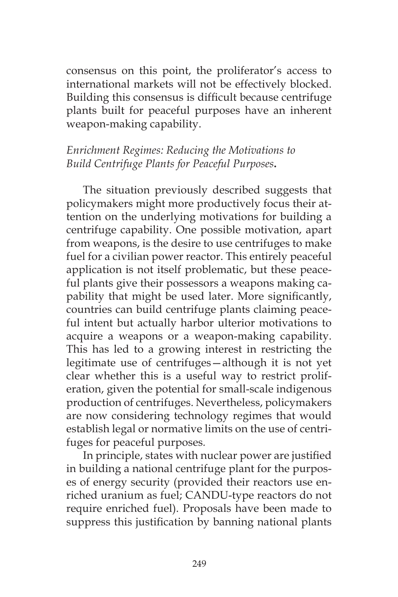consensus on this point, the proliferator's access to international markets will not be effectively blocked. Building this consensus is difficult because centrifuge plants built for peaceful purposes have an inherent weapon-making capability.

# *Enrichment Regimes: Reducing the Motivations to Build Centrifuge Plants for Peaceful Purposes***.**

The situation previously described suggests that policymakers might more productively focus their attention on the underlying motivations for building a centrifuge capability. One possible motivation, apart from weapons, is the desire to use centrifuges to make fuel for a civilian power reactor. This entirely peaceful application is not itself problematic, but these peaceful plants give their possessors a weapons making capability that might be used later. More significantly, countries can build centrifuge plants claiming peaceful intent but actually harbor ulterior motivations to acquire a weapons or a weapon-making capability. This has led to a growing interest in restricting the legitimate use of centrifuges—although it is not yet clear whether this is a useful way to restrict proliferation, given the potential for small-scale indigenous production of centrifuges. Nevertheless, policymakers are now considering technology regimes that would establish legal or normative limits on the use of centrifuges for peaceful purposes*.*

In principle, states with nuclear power are justified in building a national centrifuge plant for the purposes of energy security (provided their reactors use enriched uranium as fuel; CANDU-type reactors do not require enriched fuel). Proposals have been made to suppress this justification by banning national plants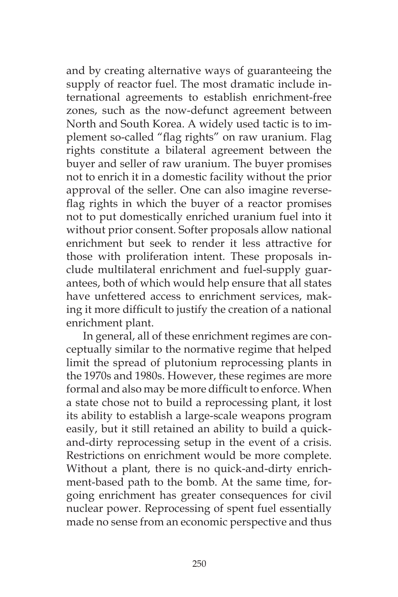and by creating alternative ways of guaranteeing the supply of reactor fuel. The most dramatic include international agreements to establish enrichment-free zones, such as the now-defunct agreement between North and South Korea. A widely used tactic is to implement so-called "flag rights" on raw uranium. Flag rights constitute a bilateral agreement between the buyer and seller of raw uranium. The buyer promises not to enrich it in a domestic facility without the prior approval of the seller. One can also imagine reverseflag rights in which the buyer of a reactor promises not to put domestically enriched uranium fuel into it without prior consent. Softer proposals allow national enrichment but seek to render it less attractive for those with proliferation intent. These proposals include multilateral enrichment and fuel-supply guarantees, both of which would help ensure that all states have unfettered access to enrichment services, making it more difficult to justify the creation of a national enrichment plant.

In general, all of these enrichment regimes are conceptually similar to the normative regime that helped limit the spread of plutonium reprocessing plants in the 1970s and 1980s. However, these regimes are more formal and also may be more difficult to enforce. When a state chose not to build a reprocessing plant, it lost its ability to establish a large-scale weapons program easily, but it still retained an ability to build a quickand-dirty reprocessing setup in the event of a crisis. Restrictions on enrichment would be more complete. Without a plant, there is no quick-and-dirty enrichment-based path to the bomb. At the same time, forgoing enrichment has greater consequences for civil nuclear power. Reprocessing of spent fuel essentially made no sense from an economic perspective and thus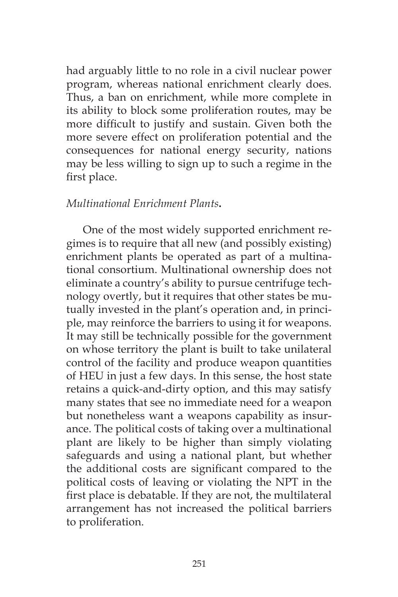had arguably little to no role in a civil nuclear power program, whereas national enrichment clearly does. Thus, a ban on enrichment, while more complete in its ability to block some proliferation routes, may be more difficult to justify and sustain. Given both the more severe effect on proliferation potential and the consequences for national energy security, nations may be less willing to sign up to such a regime in the first place.

#### *Multinational Enrichment Plants***.**

One of the most widely supported enrichment regimes is to require that all new (and possibly existing) enrichment plants be operated as part of a multinational consortium. Multinational ownership does not eliminate a country's ability to pursue centrifuge technology overtly, but it requires that other states be mutually invested in the plant's operation and, in principle, may reinforce the barriers to using it for weapons. It may still be technically possible for the government on whose territory the plant is built to take unilateral control of the facility and produce weapon quantities of HEU in just a few days. In this sense, the host state retains a quick-and-dirty option, and this may satisfy many states that see no immediate need for a weapon but nonetheless want a weapons capability as insurance. The political costs of taking over a multinational plant are likely to be higher than simply violating safeguards and using a national plant, but whether the additional costs are significant compared to the political costs of leaving or violating the NPT in the first place is debatable. If they are not, the multilateral arrangement has not increased the political barriers to proliferation.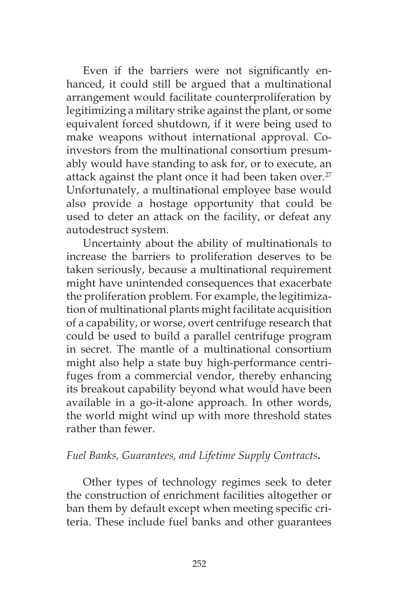Even if the barriers were not significantly enhanced, it could still be argued that a multinational arrangement would facilitate counterproliferation by legitimizing a military strike against the plant, or some equivalent forced shutdown, if it were being used to make weapons without international approval. Coinvestors from the multinational consortium presumably would have standing to ask for, or to execute, an attack against the plant once it had been taken over.<sup>27</sup> Unfortunately, a multinational employee base would also provide a hostage opportunity that could be used to deter an attack on the facility, or defeat any autodestruct system.

Uncertainty about the ability of multinationals to increase the barriers to proliferation deserves to be taken seriously, because a multinational requirement might have unintended consequences that exacerbate the proliferation problem. For example, the legitimization of multinational plants might facilitate acquisition of a capability, or worse, overt centrifuge research that could be used to build a parallel centrifuge program in secret. The mantle of a multinational consortium might also help a state buy high-performance centrifuges from a commercial vendor, thereby enhancing its breakout capability beyond what would have been available in a go-it-alone approach. In other words, the world might wind up with more threshold states rather than fewer.

## *Fuel Banks, Guarantees, and Lifetime Supply Contracts***.**

Other types of technology regimes seek to deter the construction of enrichment facilities altogether or ban them by default except when meeting specific criteria. These include fuel banks and other guarantees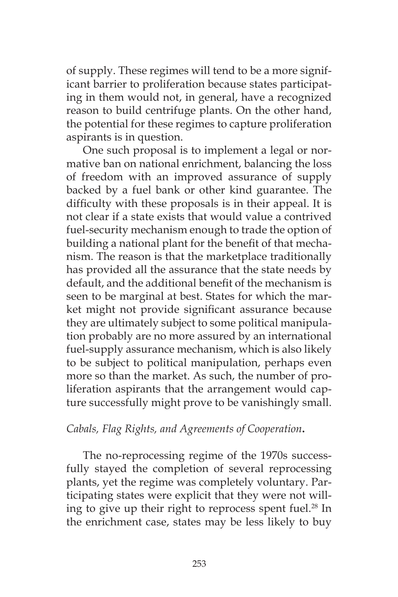of supply. These regimes will tend to be a more significant barrier to proliferation because states participating in them would not, in general, have a recognized reason to build centrifuge plants. On the other hand, the potential for these regimes to capture proliferation aspirants is in question.

One such proposal is to implement a legal or normative ban on national enrichment, balancing the loss of freedom with an improved assurance of supply backed by a fuel bank or other kind guarantee. The difficulty with these proposals is in their appeal. It is not clear if a state exists that would value a contrived fuel-security mechanism enough to trade the option of building a national plant for the benefit of that mechanism. The reason is that the marketplace traditionally has provided all the assurance that the state needs by default, and the additional benefit of the mechanism is seen to be marginal at best. States for which the market might not provide significant assurance because they are ultimately subject to some political manipulation probably are no more assured by an international fuel-supply assurance mechanism, which is also likely to be subject to political manipulation, perhaps even more so than the market. As such, the number of proliferation aspirants that the arrangement would capture successfully might prove to be vanishingly small.

## *Cabals, Flag Rights, and Agreements of Cooperation***.**

The no-reprocessing regime of the 1970s successfully stayed the completion of several reprocessing plants, yet the regime was completely voluntary. Participating states were explicit that they were not willing to give up their right to reprocess spent fuel.<sup>28</sup> In the enrichment case, states may be less likely to buy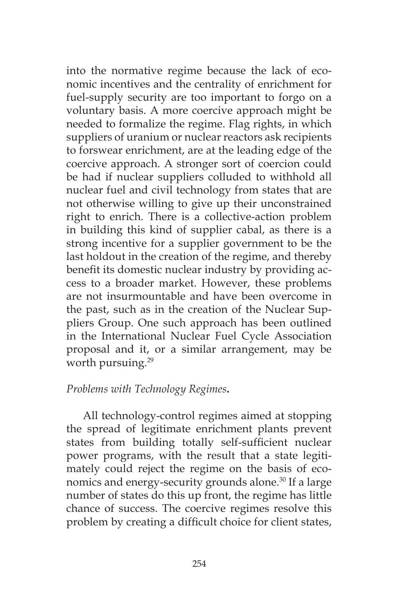into the normative regime because the lack of economic incentives and the centrality of enrichment for fuel-supply security are too important to forgo on a voluntary basis. A more coercive approach might be needed to formalize the regime. Flag rights, in which suppliers of uranium or nuclear reactors ask recipients to forswear enrichment, are at the leading edge of the coercive approach. A stronger sort of coercion could be had if nuclear suppliers colluded to withhold all nuclear fuel and civil technology from states that are not otherwise willing to give up their unconstrained right to enrich. There is a collective-action problem in building this kind of supplier cabal, as there is a strong incentive for a supplier government to be the last holdout in the creation of the regime, and thereby benefit its domestic nuclear industry by providing access to a broader market. However, these problems are not insurmountable and have been overcome in the past, such as in the creation of the Nuclear Suppliers Group. One such approach has been outlined in the International Nuclear Fuel Cycle Association proposal and it, or a similar arrangement, may be worth pursuing.<sup>29</sup>

## *Problems with Technology Regimes***.**

All technology-control regimes aimed at stopping the spread of legitimate enrichment plants prevent states from building totally self-sufficient nuclear power programs, with the result that a state legitimately could reject the regime on the basis of economics and energy-security grounds alone.<sup>30</sup> If a large number of states do this up front, the regime has little chance of success. The coercive regimes resolve this problem by creating a difficult choice for client states,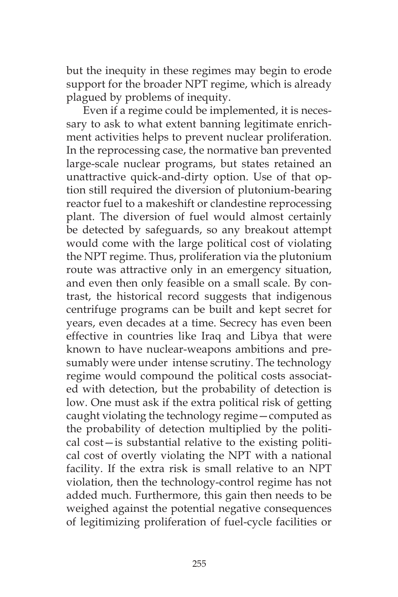but the inequity in these regimes may begin to erode support for the broader NPT regime, which is already plagued by problems of inequity.

Even if a regime could be implemented, it is necessary to ask to what extent banning legitimate enrichment activities helps to prevent nuclear proliferation. In the reprocessing case, the normative ban prevented large-scale nuclear programs, but states retained an unattractive quick-and-dirty option. Use of that option still required the diversion of plutonium-bearing reactor fuel to a makeshift or clandestine reprocessing plant. The diversion of fuel would almost certainly be detected by safeguards, so any breakout attempt would come with the large political cost of violating the NPT regime. Thus, proliferation via the plutonium route was attractive only in an emergency situation, and even then only feasible on a small scale. By contrast, the historical record suggests that indigenous centrifuge programs can be built and kept secret for years, even decades at a time. Secrecy has even been effective in countries like Iraq and Libya that were known to have nuclear-weapons ambitions and presumably were under intense scrutiny. The technology regime would compound the political costs associated with detection, but the probability of detection is low. One must ask if the extra political risk of getting caught violating the technology regime—computed as the probability of detection multiplied by the political cost—is substantial relative to the existing political cost of overtly violating the NPT with a national facility. If the extra risk is small relative to an NPT violation, then the technology-control regime has not added much. Furthermore, this gain then needs to be weighed against the potential negative consequences of legitimizing proliferation of fuel-cycle facilities or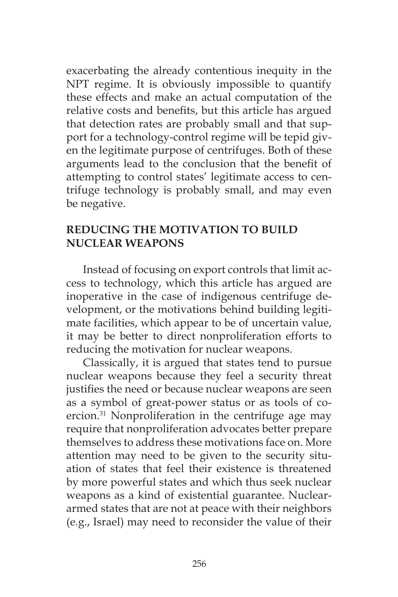exacerbating the already contentious inequity in the NPT regime. It is obviously impossible to quantify these effects and make an actual computation of the relative costs and benefits, but this article has argued that detection rates are probably small and that support for a technology-control regime will be tepid given the legitimate purpose of centrifuges. Both of these arguments lead to the conclusion that the benefit of attempting to control states' legitimate access to centrifuge technology is probably small, and may even be negative.

## **REDUCING THE MOTIVATION TO BUILD NUCLEAR WEAPONS**

Instead of focusing on export controls that limit access to technology, which this article has argued are inoperative in the case of indigenous centrifuge development, or the motivations behind building legitimate facilities, which appear to be of uncertain value, it may be better to direct nonproliferation efforts to reducing the motivation for nuclear weapons.

Classically, it is argued that states tend to pursue nuclear weapons because they feel a security threat justifies the need or because nuclear weapons are seen as a symbol of great-power status or as tools of coercion.<sup>31</sup> Nonproliferation in the centrifuge age may require that nonproliferation advocates better prepare themselves to address these motivations face on. More attention may need to be given to the security situation of states that feel their existence is threatened by more powerful states and which thus seek nuclear weapons as a kind of existential guarantee. Nucleararmed states that are not at peace with their neighbors (e.g., Israel) may need to reconsider the value of their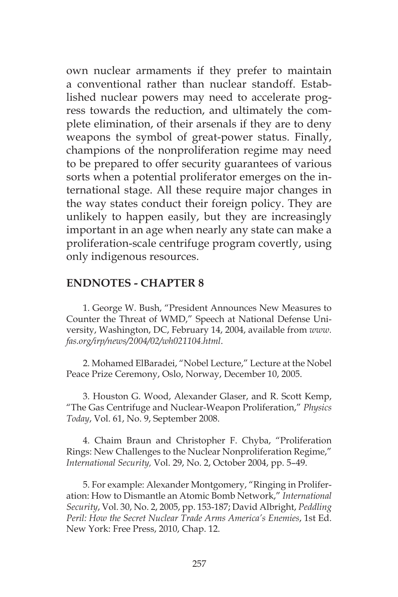own nuclear armaments if they prefer to maintain a conventional rather than nuclear standoff. Established nuclear powers may need to accelerate progress towards the reduction, and ultimately the complete elimination, of their arsenals if they are to deny weapons the symbol of great-power status. Finally, champions of the nonproliferation regime may need to be prepared to offer security guarantees of various sorts when a potential proliferator emerges on the international stage. All these require major changes in the way states conduct their foreign policy. They are unlikely to happen easily, but they are increasingly important in an age when nearly any state can make a proliferation-scale centrifuge program covertly, using only indigenous resources.

#### **ENDNOTES - CHAPTER 8**

1. George W. Bush, "President Announces New Measures to Counter the Threat of WMD," Speech at National Defense University, Washington, DC, February 14, 2004, available from *www. fas.org/irp/news/2004/02/wh021104.html*.

2. Mohamed ElBaradei, "Nobel Lecture," Lecture at the Nobel Peace Prize Ceremony, Oslo, Norway, December 10, 2005.

3. Houston G. Wood, Alexander Glaser, and R. Scott Kemp, "The Gas Centrifuge and Nuclear-Weapon Proliferation," *Physics Today*, Vol. 61, No. 9, September 2008.

4. Chaim Braun and Christopher F. Chyba, "Proliferation Rings: New Challenges to the Nuclear Nonproliferation Regime," *International Security,* Vol. 29, No. 2, October 2004, pp. 5–49.

5. For example: Alexander Montgomery, "Ringing in Proliferation: How to Dismantle an Atomic Bomb Network," *International Security*, Vol. 30, No. 2, 2005, pp. 153-187; David Albright, *Peddling Peril: How the Secret Nuclear Trade Arms America's Enemies*, 1st Ed. New York: Free Press, 2010, Chap. 12.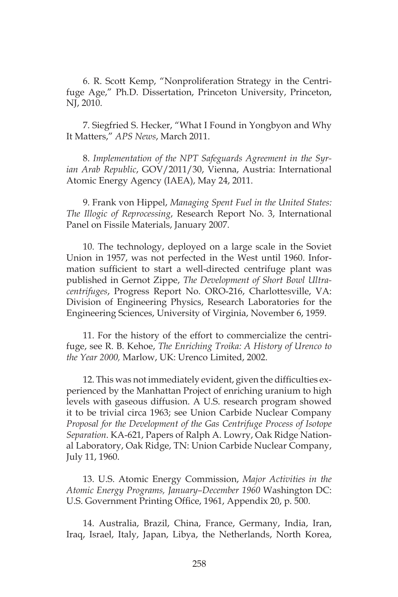6. R. Scott Kemp, "Nonproliferation Strategy in the Centrifuge Age," Ph.D. Dissertation, Princeton University, Princeton, NJ, 2010.

7. Siegfried S. Hecker, "What I Found in Yongbyon and Why It Matters," *APS News*, March 2011.

8. *Implementation of the NPT Safeguards Agreement in the Syrian Arab Republic*, GOV/2011/30, Vienna, Austria: International Atomic Energy Agency (IAEA), May 24, 2011.

9. Frank von Hippel, *Managing Spent Fuel in the United States: The Illogic of Reprocessing*, Research Report No. 3, International Panel on Fissile Materials, January 2007.

10. The technology, deployed on a large scale in the Soviet Union in 1957, was not perfected in the West until 1960. Information sufficient to start a well-directed centrifuge plant was published in Gernot Zippe, *The Development of Short Bowl Ultracentrifuges*, Progress Report No. ORO-216, Charlottesville, VA: Division of Engineering Physics, Research Laboratories for the Engineering Sciences, University of Virginia, November 6, 1959.

11. For the history of the effort to commercialize the centrifuge, see R. B. Kehoe, *The Enriching Troika: A History of Urenco to the Year 2000,* Marlow, UK: Urenco Limited, 2002.

12. This was not immediately evident, given the difficulties experienced by the Manhattan Project of enriching uranium to high levels with gaseous diffusion. A U.S. research program showed it to be trivial circa 1963; see Union Carbide Nuclear Company *Proposal for the Development of the Gas Centrifuge Process of Isotope Separation*. KA-621, Papers of Ralph A. Lowry, Oak Ridge National Laboratory, Oak Ridge, TN: Union Carbide Nuclear Company, July 11, 1960.

13. U.S. Atomic Energy Commission, *Major Activities in the Atomic Energy Programs, January–December 1960* Washington DC: U.S. Government Printing Office, 1961, Appendix 20, p. 500.

14. Australia, Brazil, China, France, Germany, India, Iran, Iraq, Israel, Italy, Japan, Libya, the Netherlands, North Korea,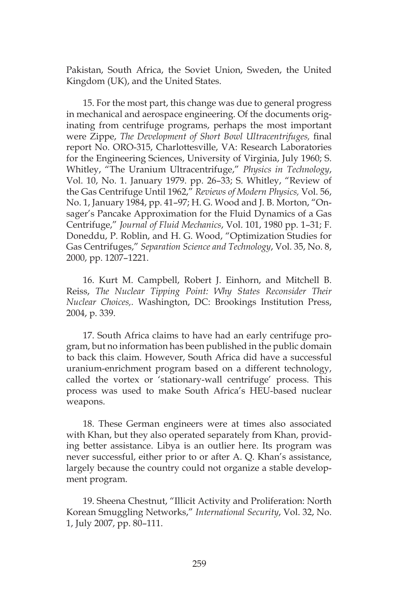Pakistan, South Africa, the Soviet Union, Sweden, the United Kingdom (UK), and the United States.

15. For the most part, this change was due to general progress in mechanical and aerospace engineering. Of the documents originating from centrifuge programs, perhaps the most important were Zippe, *The Development of Short Bowl Ultracentrifuges,* final report No. ORO-315, Charlottesville, VA: Research Laboratories for the Engineering Sciences, University of Virginia, July 1960; S. Whitley, "The Uranium Ultracentrifuge," *Physics in Technology*, Vol. 10, No. 1. January 1979. pp. 26–33; S. Whitley, "Review of the Gas Centrifuge Until 1962," *Reviews of Modern Physics,* Vol. 56, No. 1, January 1984, pp. 41–97; H. G. Wood and J. B. Morton, "Onsager's Pancake Approximation for the Fluid Dynamics of a Gas Centrifuge," *Journal of Fluid Mechanics*, Vol. 101, 1980 pp. 1–31; F. Doneddu, P. Roblin, and H. G. Wood, "Optimization Studies for Gas Centrifuges," *Separation Science and Technology*, Vol. 35, No. 8, 2000, pp. 1207–1221.

16. Kurt M. Campbell, Robert J. Einhorn, and Mitchell B. Reiss, *The Nuclear Tipping Point: Why States Reconsider Their Nuclear Choices,.* Washington, DC: Brookings Institution Press, 2004, p. 339.

17. South Africa claims to have had an early centrifuge program, but no information has been published in the public domain to back this claim. However, South Africa did have a successful uranium-enrichment program based on a different technology, called the vortex or 'stationary-wall centrifuge' process. This process was used to make South Africa's HEU-based nuclear weapons.

18. These German engineers were at times also associated with Khan, but they also operated separately from Khan, providing better assistance. Libya is an outlier here. Its program was never successful, either prior to or after A. Q. Khan's assistance, largely because the country could not organize a stable development program.

19. Sheena Chestnut, "Illicit Activity and Proliferation: North Korean Smuggling Networks," *International Security*, Vol. 32, No. 1, July 2007, pp. 80–111.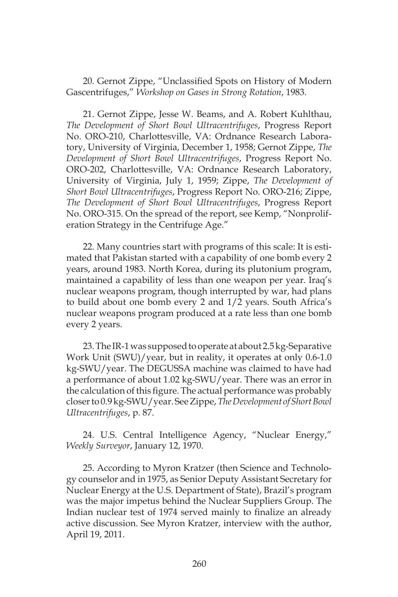20. Gernot Zippe, "Unclassified Spots on History of Modern Gascentrifuges," *Workshop on Gases in Strong Rotation*, 1983.

21. Gernot Zippe, Jesse W. Beams, and A. Robert Kuhlthau, *The Development of Short Bowl Ultracentrifuges*, Progress Report No. ORO-210, Charlottesville, VA: Ordnance Research Laboratory, University of Virginia, December 1, 1958; Gernot Zippe, *The Development of Short Bowl Ultracentrifuges*, Progress Report No. ORO-202, Charlottesville, VA: Ordnance Research Laboratory, University of Virginia, July 1, 1959; Zippe, *The Development of Short Bowl Ultracentrifuges*, Progress Report No. ORO-216; Zippe, *The Development of Short Bowl Ultracentrifuges*, Progress Report No. ORO-315. On the spread of the report, see Kemp, "Nonproliferation Strategy in the Centrifuge Age."

22. Many countries start with programs of this scale: It is estimated that Pakistan started with a capability of one bomb every 2 years, around 1983. North Korea, during its plutonium program, maintained a capability of less than one weapon per year. Iraq's nuclear weapons program, though interrupted by war, had plans to build about one bomb every 2 and 1/2 years. South Africa's nuclear weapons program produced at a rate less than one bomb every 2 years.

23. The IR-1 was supposed to operate at about 2.5 kg-Separative Work Unit (SWU)/year, but in reality, it operates at only 0.6-1.0 kg-SWU/year. The DEGUSSA machine was claimed to have had a performance of about 1.02 kg-SWU/year. There was an error in the calculation of this figure. The actual performance was probably closer to 0.9 kg-SWU/year. See Zippe, *The Development of Short Bowl Ultracentrifuges*, p. 87.

24. U.S. Central Intelligence Agency, "Nuclear Energy," *Weekly Surveyor*, January 12, 1970.

25. According to Myron Kratzer (then Science and Technology counselor and in 1975, as Senior Deputy Assistant Secretary for Nuclear Energy at the U.S. Department of State), Brazil's program was the major impetus behind the Nuclear Suppliers Group. The Indian nuclear test of 1974 served mainly to finalize an already active discussion. See Myron Kratzer, interview with the author, April 19, 2011.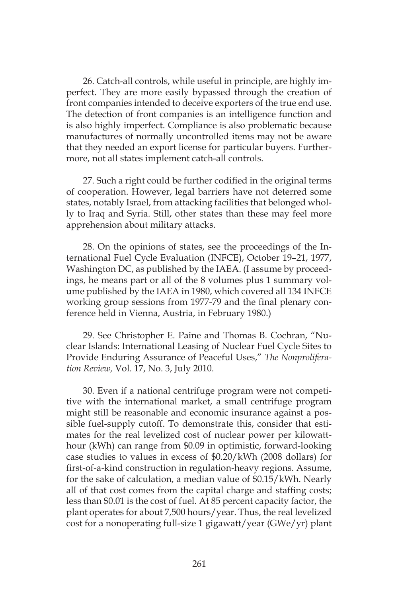26. Catch-all controls, while useful in principle, are highly imperfect. They are more easily bypassed through the creation of front companies intended to deceive exporters of the true end use. The detection of front companies is an intelligence function and is also highly imperfect. Compliance is also problematic because manufactures of normally uncontrolled items may not be aware that they needed an export license for particular buyers. Furthermore, not all states implement catch-all controls.

27. Such a right could be further codified in the original terms of cooperation. However, legal barriers have not deterred some states, notably Israel, from attacking facilities that belonged wholly to Iraq and Syria. Still, other states than these may feel more apprehension about military attacks.

28. On the opinions of states, see the proceedings of the International Fuel Cycle Evaluation (INFCE), October 19–21, 1977, Washington DC, as published by the IAEA. (I assume by proceedings, he means part or all of the 8 volumes plus 1 summary volume published by the IAEA in 1980, which covered all 134 INFCE working group sessions from 1977-79 and the final plenary conference held in Vienna, Austria, in February 1980.)

29. See Christopher E. Paine and Thomas B. Cochran, "Nuclear Islands: International Leasing of Nuclear Fuel Cycle Sites to Provide Enduring Assurance of Peaceful Uses," *The Nonproliferation Review,* Vol. 17, No. 3, July 2010.

30. Even if a national centrifuge program were not competitive with the international market, a small centrifuge program might still be reasonable and economic insurance against a possible fuel-supply cutoff. To demonstrate this, consider that estimates for the real levelized cost of nuclear power per kilowatthour (kWh) can range from \$0.09 in optimistic, forward-looking case studies to values in excess of \$0.20/kWh (2008 dollars) for first-of-a-kind construction in regulation-heavy regions. Assume, for the sake of calculation, a median value of \$0.15/kWh. Nearly all of that cost comes from the capital charge and staffing costs; less than \$0.01 is the cost of fuel. At 85 percent capacity factor, the plant operates for about 7,500 hours/year. Thus, the real levelized cost for a nonoperating full-size 1 gigawatt/year (GWe/yr) plant